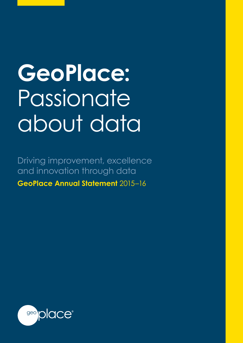# **GeoPlace:**  Passionate about data

Driving improvement, excellence and innovation through data **GeoPlace Annual Statement** 2015–16

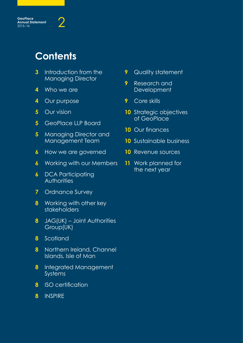

# **Contents**

- Introduction from the Managing Director
- Who we are
- Our purpose
- Our vision
- GeoPlace LLP Board
- Managing Director and Management Team
- How we are governed
- Working with our Members
- DCA Participating **Authorities**
- Ordnance Survey
- Working with other key stakeholders
- JAG(UK) Joint Authorities Group(UK)
- Scotland
- Northern Ireland, Channel Islands, Isle of Man
- Integrated Management Systems
- ISO certification
- INSPIRE
- Quality statement
- Research and Development
- Core skills
- Strategic objectives of GeoPlace
- Our finances
- Sustainable business
- Revenue sources
- Work planned for the next year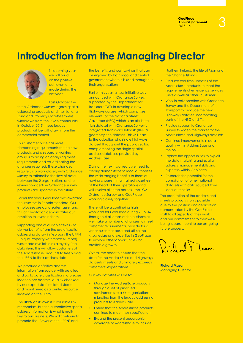

This coming year we will build on the positive achievements made during the last year.

Last October the three Ordnance Survey legacy spatial addressing products and the National Land and Property Gazetteer were withdrawn from the PSMA community. In October 2015, these legacy products will be withdrawn from the commercial market.

This customer base has more demanding requirements for the new products and a separate working group is focusing on analysing these requirements and co-ordinating the changes required. These changes require us to work closely with Ordnance Survey to rationalise the flow of data between the 2 organisations and to review how certain Ordnance Survey products are updated in the future.

Earlier this year, GeoPlace was awarded the Investors in People standard. Our employees are our greatest asset and this accreditation demonstrates our ambition to invest in them.

Supporting one of our objectives – to deliver benefits from the use of spatial addressing data – in February the UPRN (Unique Property Reference Number) was made available as a royalty free data item. This will allow customers of the AddressBase products to freely add the UPRN to their address data.

We produce definitive address information from source; with detailed and up to date classifications; a precise location per address; quality checked by our expert staff; collated stored and maintained as a central resource indexed on the UPRN.

The UPRN on its own is a valuable link mechanism, but the authoritative spatial address information is what is really key to our business. We will continue to promote the 'Power of the UPRN' and

the benefits and cost savings that can be enjoyed by both local and central government where it is used throughout their organisations.

Earlier this year, a new initiative was announced with Ordnance Survey, supported by the Department for Transport (DfT) to develop a new Highways dataset which comprises elements of the National Street Gazetteer (NSG) which is an attribute rich dataset with Ordnance Survey's Integrated Transport Network (ITN), a geometry rich dataset. This will lead to the adoption of a single highways dataset throughout the public sector, complementing the single spatial address database provided by AddressBase.

During the next two years we need to clearly demonstrate to local authorities the wide ranging benefits to them of having a current maintained gazetteer at the heart of their operations and will involve all three parties - the LGA, Ordnance Survey and GeoPlace working closely together.

There will be a continuing high workload for GeoPlace during 2015 -16 throughout all areas of the business as we make a number of changes to meet customer requirements, provide for a wider customer base and utilise the knowledge and expertise in GeoPlace to explore other opportunities for profitable growth.

Overall we need to ensure that the data for the AddressBase and Highways datasets meets and ultimately exceeds customers' expectations.

Our key activities will be to:

- Manage the AddressBase products through a set of prioritised requirements to assist organisations migrating from the legacy addressing products to AddressBase
- Ensure that the AddressBase products continue to meet their specification
- Expand the present geographic coverage of AddressBase to include

Northern Ireland; the Isle of Man and the Channel Islands

- Produce real time updates of the AddressBase products to meet the requirements of emergency services users as well as others customers
- Work in collaboration with Ordnance Survey and the Department of Transport to produce the new Highways dataset, incorporating parts of the NSG and ITN
- Provide support to Ordnance Survey to widen the market for the AddressBase and Highways datasets
- Continue improvements in data quality within AddressBase and the NSG
- Explore the opportunities to exploit the data matching and spatial address management skills and expertise within GeoPlace
- Research the potential for the compilation of other national datasets with data sourced from local authorities

The production of the address and streets products is only possible due to the passion and dedication demonstrated by the GeoPlace staff to all aspects of their work and our commitment to their wellbeing is paramount to our on-going future success.

 $\sum_{i=1}^n$ 

**Richard Mason** Managing Director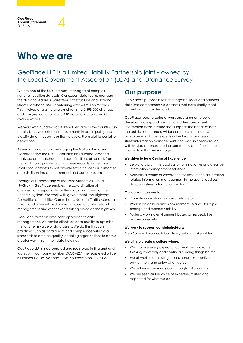# **Who we are**

### GeoPlace LLP is a Limited Liability Partnership jointly owned by the Local Government Association (LGA) and Ordnance Survey.

We are one of the UK's foremost managers of complex national location datasets. Our expert data teams manage the National Address Gazetteer infrastructure and National Street Gazetteer (NSG) containing over 40 million records. This involves analysing and synchronising 2,599,000 changes and carrying out a total of 3,440 data validation checks every 6 weeks.

We work with hundreds of stakeholders across the country. On a daily basis we build on improvements in data quality and classify data through its entire life cycle. From plot to postal to demolition.

As well as building and managing the National Address Gazetteer and the NSG, GeoPlace has audited, cleaned, analysed and matched hundreds of millions of records from the public and private sectors. These records range from small local datasets to nationwide taxation, census, customer records, licensing and command and control systems.

Through our sponsorship of the Joint Authorities Group (JAG(UK)), GeoPlace enables the co-ordination of organisations responsible for the roads and streets of the United Kingdom. We work with government, the Highway Authorities and Utilities Committees, National Traffic Managers Forum and other related bodies for asset or utility network management and other events taking place on the highway.

GeoPlace takes an enterprise approach to data management. We advise clients on data quality to optimise the long term value of data assets. We do this through practices such as data audits and compliance with data standards to enforce quality, enabling organisations to derive greater worth from their data holdings.

GeoPlace LLP is incorporated and registered in England and Wales with company number OC359627. The registered office is Explorer House, Adanac Drive, Southampton, SO16 0AS.

### **Our purpose**

GeoPlace's purpose is to bring together local and national data into comprehensive datasets that consistently meet current and future demand.

GeoPlace leads a series of work programmes to build, develop and expand a national address and street information infrastructure that supports the needs of both the public sector and a wider commercial market. We aim to be world class experts in the field of address and street information management and work in collaboration with trusted partners to bring community benefit from the information that we manage.

#### **We strive to be a Centre of Excellence:**

- Be world class in the application of innovative and creative information management solutions
- Maintain a centre of excellence for state of the art location related information management in the spatial address data and street information sector.

#### **Our core values are to:**

- Promote innovation and creativity in staff
- Work in an agile business environment to allow for rapid change and manoeuvrability
- Foster a working environment based on respect, trust and responsibility.

#### **We work to support our stakeholders:**

GeoPlace will work collaboratively with all stakeholders

#### **We aim to create a culture where:**

- We improve every aspect of our work by innovating, thinking creatively and continually doing things better
- We all work in an trusting, open, honest, supportive environment and enjoy what we do
- We achieve common goals through collaboration
- We are seen as the voice of expertise, trusted and respected for what we do.

**GeoPlace Annual Statement** GeoPlace<br>Annual Statement<br>2015–16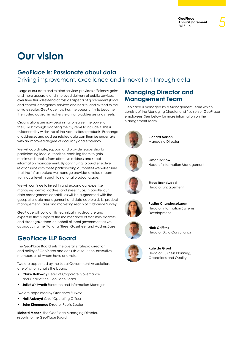# **Our vision**

### **GeoPlace is: Passionate about data**

Driving improvement, excellence and innovation through data

Usage of our data and related services provides efficiency gains and more accurate and improved delivery of public services, over time this will extend across all aspects of government (local and central, emergency services and health) and extend to the private sector. GeoPlace now has the opportunity to become the trusted advisor in matters relating to addresses and streets.

Organisations are now beginning to realise 'the power of the UPRN' through adapting their systems to include it. This is evidenced by wider use of the AddressBase products. Exchange of addresses and address related data can then be undertaken with an improved degree of accuracy and efficiency.

We will coordinate, support and provide leadership to participating local authorities, enabling them to gain maximum benefits from effective address and street information management. By continuing to build effective relationships with these participating authorities we will ensure that the infrastructure we manage provides a value stream from local level through to national product usage.

We will continue to invest in and expand our expertise in managing central address and street hubs. In parallel our data management capabilities will be augmented with the geospatial data management and data capture skills, product management, sales and marketing reach of Ordnance Survey.

GeoPlace will build on its technical infrastructure and expertise that supports the maintenance of statutory address and street gazetteers on behalf of local government as well as producing the National Street Gazetteer and AddressBase

### **GeoPlace LLP Board**

The GeoPlace Board sets the overall strategic direction and policy of GeoPlace and consists of four non-executive members all of whom have one vote.

Two are appointed by the Local Government Association, one of whom chairs the board;

- **Claire Holloway** Head of Corporate Governance and Chair of the GeoPlace Board
- **Juliet Whitworth** Research and Information Manager

Two are appointed by Ordnance Survey;

- **Neil Ackroyd** Chief Operating Officer
- **John Kimmance** Director Public Sector

**Richard Mason,** the GeoPlace Managing Director, reports to the GeoPlace Board.

### **Managing Director and Management Team**

GeoPlace is managed by a Management Team which consists of the Managing Director and five senior GeoPlace employees. See below for more information on the Management Team



**Richard Mason** Managing Director



**Simon Barlow** Head of Information Management



**Steve Brandwood** Head of Engagement



**Radha Chandrasekaran** Head of Information Systems Development



**Nick Griffiths** Head of Data Consultancy



**Kate de Groot** Head of Business Planning, Operations and Quality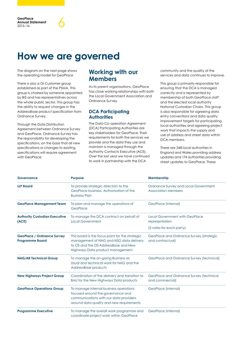## **How we are governed**

The diagram on the next page shows the operating model for GeoPlace

There is also a GI Customer group established as part of the PSMA. This group is chaired by someone appointed by BIS and has representatives across the whole public sector. This group has the ability to request changes in the AddressBase product specification from Ordnance Survey.

Through the Data Distribution Agreement between Ordnance Survey and GeoPlace, Ordnance Survey has the responsibility for developing the specifications, on the basis that all new specifications or changes to existing specifications will require agreement with GeoPlace.

### **Working with our Members**

As its parent organisations, GeoPlace has close working relationships with both the Local Government Association and Ordnance Survey.

#### **DCA Participating Authorities**

The Data Co-operation Agreement (DCA) Participating Authorities are key stakeholders for GeoPlace. Their requirements for both the services we provide and the data they use and maintain is managed through the Authority Contacts Executive (ACE). Over the last year we have continued to work in partnership with the DCA

community and the quality of the services and data continues to improve.

This group is primarily responsible for ensuring that the DCA is managed correctly and is represented by membership of both GeoPlace staff and the elected local authority National Custodian Chairs. This group is also responsible for agreeing data entry conventions and data quality improvement targets for participating local authorities and agreeing project work that impacts the supply and use of address and street data within DCA members.

There are 348 local authorities in England and Wales providing address updates and 174 authorities providing street updates to GeoPlace. These

| Governance                                                  | <b>Purpose</b>                                                                                                                                                         | Membership                                                         |
|-------------------------------------------------------------|------------------------------------------------------------------------------------------------------------------------------------------------------------------------|--------------------------------------------------------------------|
| <b>LLP Board</b>                                            | To provide strategic direction to the<br>GeoPlace business, Authorisation of the<br><b>Business Plan</b>                                                               | Ordnance Survey and Local Government<br><b>Association Members</b> |
| <b>GeoPlace Management Team</b>                             | To plan and manage the operations of<br>GeoPlace                                                                                                                       | GeoPlace (internal)                                                |
| <b>Authority Custodian Executive</b><br>(ACE)               | To manage the DCA contract on behalf of<br><b>Local Government</b>                                                                                                     | <b>Local Government with GeoPlace</b><br>representation            |
|                                                             |                                                                                                                                                                        | (2 votes for each party)                                           |
| <b>GeoPlace / Ordnance Survey</b><br><b>Programme Board</b> | This board is the focus point for the strategic<br>management of NAG and NSG data delivery<br>to OS and the OS AddressBase and New<br>Highways Data product management | GeoPlace and Ordnance Survey (strategic<br>and contractual)        |
| <b>NAG/AB Technical Group</b>                               | To manage the on-going Business as<br>Usual and technical work for NAG and the<br>AddressBase products                                                                 | GeoPlace and Ordnance Survey (technical)                           |
| <b>New Highways Project Group</b>                           | Coordination of the delivery and transition to<br>BAU for the New Highways Data products                                                                               | GeoPlace and Ordnance Survey (technical<br>and commercial)         |
| <b>GeoPlace Operations Group</b>                            | To manage internal business operations<br>focused around the governance and<br>communications with our data providers<br>around data quality and new requirements      | GeoPlace (internal)                                                |
| <b>Programme Executive</b>                                  | To manage the overall work programme and<br>coordinate project work within GeoPlace                                                                                    | GeoPlace (internal)                                                |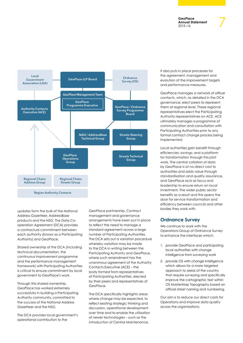

updates form the bulk of the National Address Gazetteer, AddressBase products and the NSG. The Data Cooperation Agreement (DCA) provides a contractual commitment between each authority (knows as a Participating Authority) and GeoPlace.

Shared ownership of the DCA (including technical documentation, the continuous improvement programme and the performance management framework) with Participating Authorities is critical to ensure commitment by local government to GeoPlace's work.

Through this shared ownership, GeoPlace has worked extremely successfully in building a Participating Authority community, committed to the success of the National Address Gazetteer and the NSG.

The DCA provides local government's operational contribution to the

GeoPlace partnership. Contract management and governance arrangements have been put in place to reflect the need to manage a standard agreement across a large number of Participating Authorities. The DCA sets out a variation procedure whereby variation may be made to the DCA in writing between the Participating Authority and GeoPlace, where such amendment has the unanimous agreement of the Authority Contacts Executive (ACE) – the body formed from representatives of Participating Authorities, elected by their peers and representatives of GeoPlace.

The DCA specifically highlights areas where change may be expected, to reflect existing strategic thinking and discussion, operational development over time and to enable the utilisation of newer technologies – such as the introduction of Central Maintenance.

It also puts in place processes for the agreement, management and evolution of the improvement targets and performance measures.

GeoPlace manages a network of officer contacts, which, as detailed in the DCA governance, elect peers to represent them at regional level. These regional representatives elect the Participating Authority representatives on ACE. ACE ultimately manages a programme of communication and consultation with Participating Authorities prior to any formal contract change process being implemented.

Local authorities gain benefit through efficiencies; savings; and a platform for transformation through this joint work. The central collation of data by GeoPlace is at no direct cost to authorities and adds value through standardisation and quality assurance, and GeoPlace acts as focus and leadership to ensure return on local investment. The wider public sector benefits as a result and this opens the door for service transformation and efficiency between councils and other bodies they work with.

#### **Ordnance Survey**

We continue to work with the Operations Group of Ordnance Survey to enhance the interfaces which:

- 1. provide GeoPlace and participating local authorities with change intelligence from surveying work
- 2. provide OS with change intelligence which allows for a more targeted approach to areas of the country that require surveying and specifically improve the cartographic text within OS MasterMap Topography based on official street naming and numbering.

Our aim is to reduce our direct costs for Operations and improve data quality across the organisations.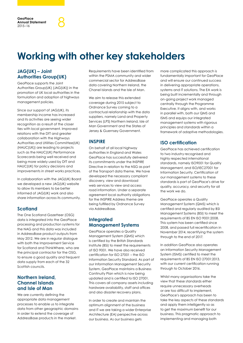# **Working with other key stakeholders**

#### **JAG(UK) – Joint Authorities Group(UK)**

GeoPlace supports the Joint Authorities Group(UK) (JAG(UK)) in the promotion of UK local authorities in the formulation and adoption of highways management policies.

Since our support of JAG(UK), its membership income has increased and its activities are seeing wider recognition as a result of the closer ties with local government. Improved relations with the DfT and greater collaboration with the Highways Authorities and Utilities Committee(UK) (HAUC(UK)) are leading to projects such as the HAUC(UK) Performance Scorecards being well received and being more widely used by DfT and HAUC(UK) for policy decisions and improvements in street works practices.

In collaboration with the JAG(UK) Board we developed a new JAG(UK) website to allow its members to be better informed of JAG(UK) work and also share information across its community.

#### **Scotland**

The One Scotland Gazetteer (OSG) data is integrated into the GeoPlace processing and production systems for the NAG and this data was included in AddressBase product outputs from May 2012. We are in regular dialogue with both the Improvement Service for Scotland and ThinkWhere, who are the principal contractor for the OSG, to ensure a good quality and frequent data supply from each of the 32 Scottish councils.

#### **Northern Ireland, Channel Islands and Isle of Man**

We are currently defining the appropriate data management processes to enable us to integrate data from other geographic domains in order to extend the coverage of AddressBase products in the market.

Requirements have been identified from within the PSMA community and wider commercial sector for AddressBase data covering Northern Ireland, the Chanel Islands and the Isle of Man.

We aim to release this extended coverage during 2015 subject to Ordnance Survey coming to a contractual relationship with the data suppliers, namely Land and Property Services (LPS) Northern Ireland, Isle of Man Government and the States of Jersey & Guernsey Government.

#### **INSPIRE**

On behalf of all local highway authorities in England and Wales GeoPlace has successfully delivered its commitments under the INSPIRE Directive in relation to the NSG as part of the Transport data theme. We have developed the necessary compliant discovery, view and download web services to view and access road information. Under a separate agreement local authority obligations for the INSPIRE Address theme are being fulfilled by Ordnance Survey via AddressBase.

#### **Integrated Management Systems**

GeoPlace operates a Quality Management System (QMS) which is certified by the British Standards Institute (BSi) to meet the requirements of ISO 9001. We have also received certification for ISO 27001 – the ISO Information Security Standard. As part of our Information Management Security System, GeoPlace maintains a Business Continuity Plan which is now being updated and is certified to ISO 27001. This covers all company assets including hardware availability, staff and offices and also disaster recovery plans.

In order to create and maintain the optimum alignment of the business and IT we are taking a wider Enterprise Architecture (EA) perspective across our business. As our business gets

more complicated this approach is fundamentally important for GeoPlace and will ensure our continued success in delivering appropriate operations, systems and IT solutions. The EA work is being built incrementally and through on-going project work managed centrally through the Programme Executive. It aligns with, and works in parallel with, both our QMS and ISMS and equips our integrated management systems with rigorous principles and standards within a framework of adaptive methodologies.

#### **ISO certification**

GeoPlace has achieved certification to two industry recognised and highly respected international standards, namely ISO9001 for Quality Management, and ISO/IEC27001 for Information Security. Certification of our management systems to these standards is part of GeoPlace's drive for quality, accuracy, and security for all the work we do.

GeoPlace operates a Quality Management System (QMS) which is certified and regularly audited by BSI Management Systems (BSI) to meet the requirements of BS EN ISO 9001:2008. This system has been certified since 2008, and passed full recertification in November 2014, recertifying the system through to the end of 2017.

In addition GeoPlace also operates an Information Security Management System (ISMS) certified to meet the requirements of BS EN ISO 27001:2013, with our current certification running through to October 2016.

Whilst many organisations take the view that these standards either require unnecessary overheads or are too difficult to implement, GeoPlace's approach has been to take the key aspects of these standards and apply them intelligently so as to get the maximum benefit for our business. This pragmatic approach to implementing and managing both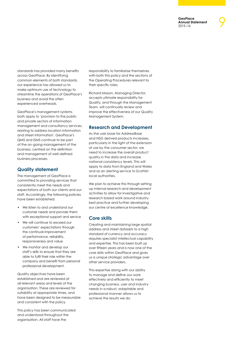9

standards has provided many benefits across GeoPlace. By identifying common elements of both standards, our experience has allowed us to make optimum use of technology to streamline the operations of GeoPlace's business and avoid the often experienced overheads.

GeoPlace's management systems both apply to 'provision to the public and private sectors of information management and consultancy services, relating to address location information and street information'. GeoPlace's QMS and ISMS continue to be part of the on-going management of the business, centred on the definition and management of well-defined business processes.

#### **Quality statement**

The management of GeoPlace is committed to providing services that consistently meet the needs and expectations of both our clients and our staff. Accordingly, the following policies have been established:

- We listen to and understand our customer needs and provide them with exceptional support and service
- We will continue to exceed our customers' expectations through the continual improvement of performance, reliability, responsiveness and value
- We monitor and develop our staff's skills to ensure that they are able to fulfil their role within the company and benefit from personal professional development.

Quality objectives have been established and are reviewed at all relevant areas and levels of the organisation. These are reviewed for suitability at appropriate times, and have been designed to be measurable and consistent with the policy.

This policy has been communicated and understood throughout the organisation. All staff have the

responsibility to familiarise themselves with both this policy and the sections of the Operating Procedures relevant to their specific roles.

Richard Mason, Managing Director, accepts ultimate responsibility for Quality, and through the Management Team, will continually review and improve the effectiveness of our Quality Management System.

#### **Research and Development**

As the user base for AddressBase and NSG derived products increases, particularly in the light of the extension of use by the consumer sector, we need to increase the overall product quality in the data and increase national consistency levels. This will apply to data from England and Wales and as an alerting service to Scottish local authorities.

We plan to achieve this through setting up internal research and development activities to allow for investigative and research based work around industry best practice and further developing our centre of excellence knowledge.

#### **Core skills**

Creating and maintaining large spatial address and street datasets to a high standard of currency and accuracy requires specialist intellectual capability and expertise. This has been built up over fifteen years and is now one of the core skills within GeoPlace and gives us a unique strategic advantage over other service providers.

This expertise along with our ability to manage and define our work effectively and efficiently to meet changing business, user and industry needs in a robust, adaptable and professional manner allows us to achieve the results we do.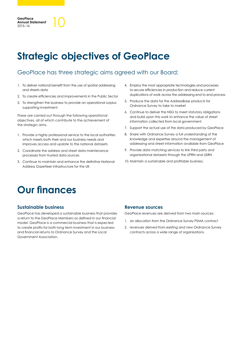# **Strategic objectives of GeoPlace**

### GeoPlace has three strategic aims agreed with our Board:

- 1. To deliver national benefit from the use of spatial addressing and streets data
- 2. To create efficiencies and improvements in the Public Sector
- 3. To strengthen the business to provide an operational surplus supporting investment.

These are carried out through the following operational objectives, all of which contribute to the achievement of the strategic aims.

- 1. Provide a highly professional service to the local authorities which meets both their and our business needs and improves access and update to the national datasets
- 2. Coordinate the address and street data maintenance processes from trusted data sources
- 3. Continue to maintain and enhance the definitive National Address Gazetteer infrastructure for the UK
- 4. Employ the most appropriate technologies and processes to secure efficiencies in production and reduce current duplications of work across the addressing end to end process
- 5. Produce the data for the AddressBase products for Ordnance Survey to take to market
- 6. Continue to deliver the NSG to meet statutory obligations and build upon this work to enhance the value of street information collected from local government.
- 7. Support the actual use of the data produced by GeoPlace
- 8. Share with Ordnance Survey a full understanding of the knowledge and expertise around the management of addressing and street information available from GeoPlace
- 9. Provide data matching services to link third party and organisational datasets through the UPRN and USRN
- 10. Maintain a sustainable and profitable business.

### **Our finances**

#### **Sustainable business**

GeoPlace has developed a sustainable business that provides a return to the GeoPlace Members as defined in our financial model. GeoPlace is a commercial business that is expected to create profits for both long term investment in our business and financial returns to Ordnance Survey and the Local Government Association.

#### **Revenue sources**

GeoPlace revenues are derived from two main sources:

- 1. an allocation from the Ordnance Survey PSMA contract
- 2. revenues derived from existing and new Ordnance Survey contracts across a wide range of organisations.

**GeoPlace Annual Statement** GeoPlace<br>Annual Statement<br>2015–16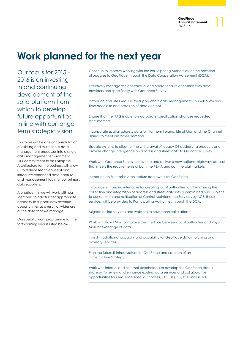# **Work planned for the next year**

Our focus for 2015 - 2016 is on investing in and continuing development of the solid platform from which to develop future opportunities in line with our longer term strategic vision.

This focus will be one of consolidation of existing and multifarious data management processes into a single data management environment. Our commitment to an Enterprise Architecture for the business will allow us to reduce technical debt and introduce enhanced data capture and management tools for our primary data suppliers.

Alongside this we will work with our Members to add further appropriate capacity to support new revenue opportunities as a result of wider use of the data that we manage.

Our specific work programme for the forthcoming year is listed below.

Continue to improve working with the Participating Authorities for the provision of updates to GeoPlace through the Data Cooperation Agreement (DCA).

Effectively manage the contractual and operational relationships with data providers and specifically with Ordnance Survey.

Introduce and use GeoHub for supply chain data management. This will allow real time access to and provision of data content.

Ensure that the NAG is able to incorporate specification changes requested by customers

Incorporate spatial address data for Northern Ireland, Isle of Man and the Channel Islands to meet customer demand.

Update systems to allow for the withdrawal of legacy OS addressing products and provide change intelligence on address and street data to Ordnance Survey

Work with Ordnance Survey to develop and deliver a new national highways dataset that meets the requirements of both the PSMA and commercial markets.

Introduce an Enterprise Architecture framework for GeoPlace.

Introduce enhanced interfaces for creating local authorities for streamlining the collection and integration of address and street data into a centralised hub. Subject to consultation and ratification of Central Maintenance Services by ACE, these services will be provided to Participating Authorities through the DCA.

Migrate online services and websites to new technical platform.

Work with Royal Mail to improve the interface between local authorities and Royal Mail for exchange of data.

Invest in additional capacity and capability for GeoPlace data matching and advisory services.

Plan the future IT infrastructure for GeoPlace and creation of an Infrastructure Strategy.

Work with internal and external stakeholders to develop the GeoPlace streets strategy. To review and enhance existing data services and collaborative opportunities for GeoPlace, local authorities, JAG(UK), OS, DfT and DEFRA.